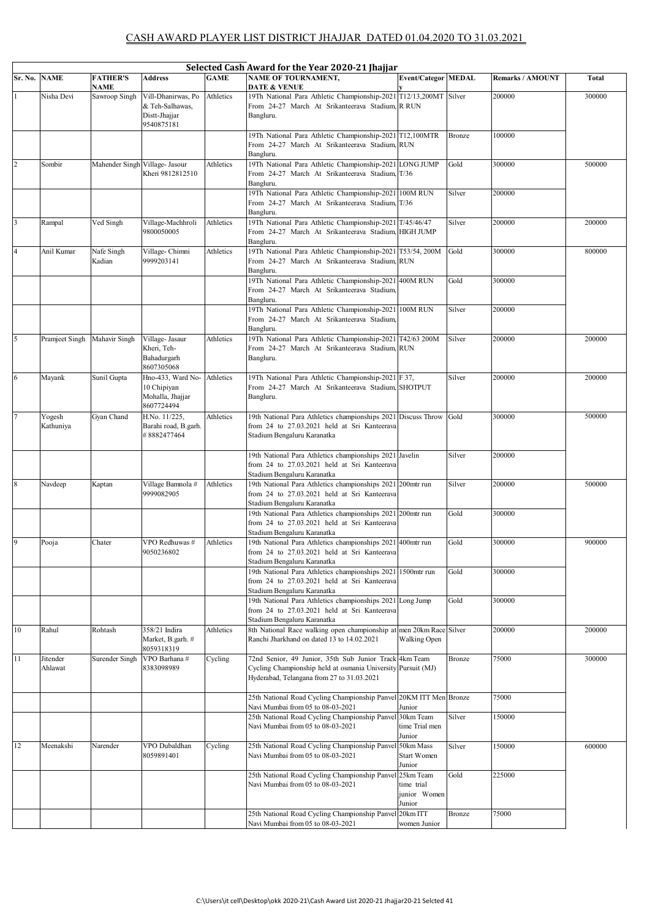|              | Selected Cash Award for the Year 2020-21 Jhajjar |                         |                                                                      |             |                                                                                                                                                                      |                                       |        |                         |              |  |  |
|--------------|--------------------------------------------------|-------------------------|----------------------------------------------------------------------|-------------|----------------------------------------------------------------------------------------------------------------------------------------------------------------------|---------------------------------------|--------|-------------------------|--------------|--|--|
| Sr. No. NAME |                                                  | <b>FATHER'S</b><br>NAME | <b>Address</b>                                                       | <b>GAME</b> | <b>NAME OF TOURNAMENT,</b><br><b>DATE &amp; VENUE</b>                                                                                                                | <b>Event/Categor MEDAL</b>            |        | <b>Remarks / AMOUNT</b> | <b>Total</b> |  |  |
|              | Nisha Devi                                       | Sawroop Singh           | Vill-Dhanirwas, Po<br>& Teh-Salhawas,<br>Distt-Jhajjar<br>9540875181 | Athletics   | 19Th National Para Athletic Championship-2021 T12/13,200MT Silver<br>From 24-27 March At Srikanteerava Stadium, R RUN<br>Bangluru.                                   |                                       |        | 200000                  | 300000       |  |  |
|              |                                                  |                         |                                                                      |             | 19Th National Para Athletic Championship-2021 T12,100MTR<br>From 24-27 March At Srikanteerava Stadium, RUN<br>Bangluru.                                              |                                       | Bronze | 100000                  |              |  |  |
| 2            | Sombir                                           |                         | Mahender Singh Village- Jasour<br>Kheri 9812812510                   | Athletics   | 19Th National Para Athletic Championship-2021 LONG JUMP<br>From 24-27 March At Srikanteerava Stadium, T/36<br>Bangluru.                                              |                                       | Gold   | 300000                  | 500000       |  |  |
|              |                                                  |                         |                                                                      |             | 19Th National Para Athletic Championship-2021 100M RUN<br>From 24-27 March At Srikanteerava Stadium T/36<br>Bangluru.                                                |                                       | Silver | 200000                  |              |  |  |
| 3            | Rampal                                           | Ved Singh               | Village-Machhroli<br>9800050005                                      | Athletics   | 19Th National Para Athletic Championship-2021 T/45/46/47<br>From 24-27 March At Srikanteerava Stadium, HIGH JUMP<br>Bangluru.                                        |                                       | Silver | 200000                  | 200000       |  |  |
|              | Anil Kumar                                       | Nafe Singh<br>Kadian    | Village-Chimni<br>9999203141                                         | Athletics   | 19Th National Para Athletic Championship-2021 T53/54, 200M<br>From 24-27 March At Srikanteerava Stadium, RUN<br>Bangluru.                                            |                                       | Gold   | 300000                  | 800000       |  |  |
|              |                                                  |                         |                                                                      |             | 19Th National Para Athletic Championship-2021<br>From 24-27 March At Srikanteerava Stadium,<br>Bangluru.                                                             | 400M RUN                              | Gold   | 300000                  |              |  |  |
|              |                                                  |                         |                                                                      |             | 19Th National Para Athletic Championship-2021 100M RUN<br>From 24-27 March At Srikanteerava Stadium,<br>Bangluru.                                                    |                                       | Silver | 200000                  |              |  |  |
| 5            | Pramjeet Singh                                   | Mahavir Singh           | Village- Jasaur<br>Kheri, Teh-<br>Bahadurgarh<br>8607305068          | Athletics   | 19Th National Para Athletic Championship-2021 T42/63 200M<br>From 24-27 March At Srikanteerava Stadium RUN<br>Bangluru.                                              |                                       | Silver | 200000                  | 200000       |  |  |
| 6            | Mayank                                           | Sunil Gupta             | Hno-433, Ward No-<br>10 Chipiyan<br>Mohalla, Jhajjar<br>8607724494   | Athletics   | 19Th National Para Athletic Championship-2021 F 37,<br>From 24-27 March At Srikanteerava Stadium, SHOTPUT<br>Bangluru.                                               |                                       | Silver | 200000                  | 200000       |  |  |
|              | Yogesh<br>Kathuniya                              | Gyan Chand              | H.No. 11/225,<br>Barahi road, B.garh.<br>#8882477464                 | Athletics   | 19th National Para Athletics championships 2021 Discuss Throw Gold<br>from 24 to 27.03.2021 held at Sri Kanteerava<br>Stadium Bengaluru Karanatka                    |                                       |        | 300000                  | 500000       |  |  |
|              |                                                  |                         |                                                                      |             | 19th National Para Athletics championships 2021 Javelin<br>from 24 to 27.03.2021 held at Sri Kanteerava<br>Stadium Bengaluru Karanatka                               |                                       | Silver | 200000                  |              |  |  |
| $\,$ 8 $\,$  | Navdeep                                          | Kaptan                  | Village Bamnola #<br>9999082905                                      | Athletics   | 19th National Para Athletics championships 2021<br>from 24 to 27.03.2021 held at Sri Kanteerava<br>Stadium Bengaluru Karanatka                                       | 200mtr run                            | Silver | 200000                  | 500000       |  |  |
|              |                                                  |                         |                                                                      |             | 19th National Para Athletics championships 2021 200mtr run<br>from 24 to 27.03.2021 held at Sri Kanteerava<br>Stadium Bengaluru Karanatka                            |                                       | Gold   | 300000                  |              |  |  |
| 9            | Pooja                                            | Chater                  | VPO Redhuwas #<br>9050236802                                         | Athletics   | 19th National Para Athletics championships 2021 400mtr run<br>from 24 to 27.03.2021 held at Sri Kanteerava<br>Stadium Bengaluru Karanatka                            |                                       | Gold   | 300000                  | 900000       |  |  |
|              |                                                  |                         |                                                                      |             | 19th National Para Athletics championships 2021<br>from 24 to 27.03.2021 held at Sri Kanteerava<br>Stadium Bengaluru Karanatka                                       | 1500mtr run                           | Gold   | 300000                  |              |  |  |
|              |                                                  |                         |                                                                      |             | 19th National Para Athletics championships 2021 Long Jump<br>from 24 to 27.03.2021 held at Sri Kanteerava<br>Stadium Bengaluru Karanatka                             |                                       | Gold   | 300000                  |              |  |  |
| 10           | Rahul                                            | Rohtash                 | 358/21 Indira<br>Market, B.garh. #<br>8059318319                     | Athletics   | 8th National Race walking open championship at men 20km Race Silver<br>Ranchi Jharkhand on dated 13 to 14.02.2021                                                    | Walking Open                          |        | 200000                  | 200000       |  |  |
| 11           | Jitender<br>Ahlawat                              | Surender Singh          | VPO Barhana #<br>8383098989                                          | Cycling     | 72nd Senior, 49 Junior, 35th Sub Junior Track 4km Team<br>Cycling Championship held at osmania University Pursuit (MJ)<br>Hyderabad, Telangana from 27 to 31.03.2021 |                                       | Bronze | 75000                   | 300000       |  |  |
|              |                                                  |                         |                                                                      |             | 25th National Road Cycling Championship Panvel 20KM ITT Men Bronze<br>Navi Mumbai from 05 to 08-03-2021                                                              | Junior                                |        | 75000                   |              |  |  |
|              |                                                  |                         |                                                                      |             | 25th National Road Cycling Championship Panvel<br>Navi Mumbai from 05 to 08-03-2021                                                                                  | 30km Team<br>time Trial men<br>Junior | Silver | 150000                  |              |  |  |
| 12           | Meenakshi                                        | Narender                | VPO Dubaldhan<br>8059891401                                          | Cycling     | 25th National Road Cycling Championship Panvel<br>Navi Mumbai from 05 to 08-03-2021                                                                                  | 50km Mass<br>Start Women<br>Junior    | Silver | 150000                  | 600000       |  |  |
|              |                                                  |                         |                                                                      |             | 25th National Road Cycling Championship Panvel 25km Team<br>Navi Mumbai from 05 to 08-03-2021                                                                        | time trial<br>junior Women<br>Junior  | Gold   | 225000                  |              |  |  |
|              |                                                  |                         |                                                                      |             | 25th National Road Cycling Championship Panvel<br>Navi Mumbai from 05 to 08-03-2021                                                                                  | 20km ITT<br>women Junior              | Bronze | 75000                   |              |  |  |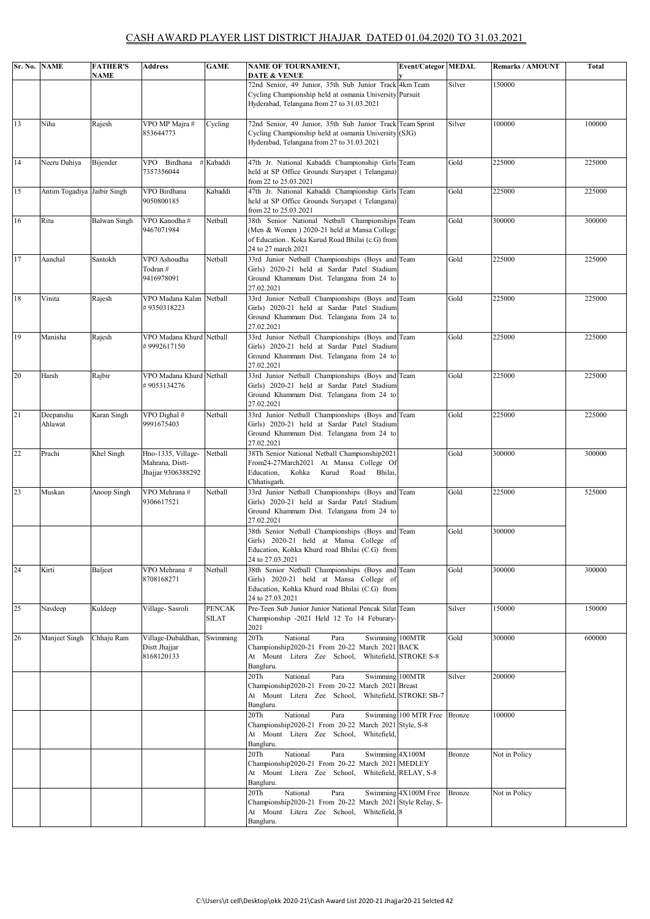## CASH AWARD PLAYER LIST DISTRICT JHAJJAR DATED 01.04.2020 TO 31.03.2021

| Sr. No. NAME |                             | <b>FATHER'S</b><br>NAME | <b>Address</b>                                              | <b>GAME</b>            | <b>NAME OF TOURNAMENT,</b><br><b>DATE &amp; VENUE</b>                                                                                                                     | <b>Event/Categor MEDAL</b> |               | <b>Remarks / AMOUNT</b> | Total  |
|--------------|-----------------------------|-------------------------|-------------------------------------------------------------|------------------------|---------------------------------------------------------------------------------------------------------------------------------------------------------------------------|----------------------------|---------------|-------------------------|--------|
|              |                             |                         |                                                             |                        | 72nd Senior, 49 Junior, 35th Sub Junior Track<br>Cycling Championship held at osmania University Pursuit<br>Hyderabad, Telangana from 27 to 31.03.2021                    | 4km Team                   | Silver        | 150000                  |        |
| 13           | Niha                        | Rajesh                  | VPO MP Majra #<br>853644773                                 | Cycling                | 72nd Senior, 49 Junior, 35th Sub Junior Track Team Sprint<br>Cycling Championship held at osmania University (SJG)<br>Hyderabad, Telangana from 27 to 31.03.2021          |                            | Silver        | 100000                  | 100000 |
| 14           | Neeru Dahiya                | Bijender                | VPO Birdhana<br>7357356044                                  | # Kabaddi              | 47th Jr. National Kabaddi Championship Girls Team<br>held at SP Office Grounds Suryapet (Telangana)<br>from 22 to 25.03.2021                                              |                            | Gold          | 225000                  | 225000 |
| 15           | Antim Togadiya Jaibir Singh |                         | VPO Birdhana<br>9050800185                                  | Kabaddi                | 47th Jr. National Kabaddi Championship Girls Team<br>held at SP Office Grounds Suryapet (Telangana)<br>from 22 to 25.03.2021                                              |                            | Gold          | 225000                  | 225000 |
| 16           | Ritu                        | Balwan Singh            | VPO Kanodha#<br>9467071984                                  | Netball                | 38th Senior National Netball Championships Team<br>(Men & Women) 2020-21 held at Mansa College<br>of Education . Koka Kurud Road Bhilai (c.G) from<br>24 to 27 march 2021 |                            | Gold          | 300000                  | 300000 |
| 17           | Aanchal                     | Santokh                 | VPO Ashoudha<br>Todran#<br>9416978091                       | Netball                | 33rd Junior Netball Championships (Boys and Team<br>Girls) 2020-21 held at Sardar Patel Stadium<br>Ground Khammam Dist. Telangana from 24 to<br>27.02.2021                |                            | Gold          | 225000                  | 225000 |
| 18           | Vinita                      | Rajesh                  | VPO Madana Kalan Netball<br>#9350318223                     |                        | 33rd Junior Netball Championships (Boys and Team<br>Girls) 2020-21 held at Sardar Patel Stadium<br>Ground Khammam Dist. Telangana from 24 to<br>27.02.2021                |                            | Gold          | 225000                  | 225000 |
| 19           | Manisha                     | Rajesh                  | VPO Madana Khurd Netball<br>#9992617150                     |                        | 33rd Junior Netball Championships (Boys and Team<br>Girls) 2020-21 held at Sardar Patel Stadium<br>Ground Khammam Dist. Telangana from 24 to<br>27.02.2021                |                            | Gold          | 225000                  | 225000 |
| 20           | Harsh                       | Rajbir                  | VPO Madana Khurd Netball<br>#9053134276                     |                        | 33rd Junior Netball Championships (Boys and Team<br>Girls) 2020-21 held at Sardar Patel Stadium<br>Ground Khammam Dist. Telangana from 24 to<br>27.02.2021                |                            | Gold          | 225000                  | 225000 |
| 21           | Deepanshu<br>Ahlawat        | Karan Singh             | VPO Dighal #<br>9991675403                                  | Netball                | 33rd Junior Netball Championships (Boys and Team<br>Girls) 2020-21 held at Sardar Patel Stadium<br>Ground Khammam Dist. Telangana from 24 to<br>27.02.2021                |                            | Gold          | 225000                  | 225000 |
| 22           | Prachi                      | Khel Singh              | Hno-1335, Village-<br>Mahrana, Distt-<br>Jhajjar 9306388292 | Netball                | 38Th Senior National Netball Championship2021<br>From24-27March2021 At Mansa College Of<br>Kurud<br>Road Bhilai,<br>Education,<br>Kohka<br>Chhatisgarh.                   |                            | Gold          | 300000                  | 300000 |
| 23           | Muskan                      | Anoop Singh             | VPO Mehrana #<br>9306617521                                 | Netball                | 33rd Junior Netball Championships (Boys and Team<br>Girls) 2020-21 held at Sardar Patel Stadium<br>Ground Khammam Dist. Telangana from 24 to<br>27.02.2021                |                            | Gold          | 225000                  | 525000 |
|              |                             |                         |                                                             |                        | 38th Senior Netball Championships (Boys and Team<br>Girls) 2020-21 held at Mansa College of<br>Education, Kohka Khurd road Bhilai (C.G) from<br>24 to 27.03.2021          |                            | Gold          | 300000                  |        |
| 24           | Kirti                       | Baljeet                 | VPO Mehrana #<br>8708168271                                 | Netball                | 38th Senior Netball Championships (Boys and Team<br>Girls) 2020-21 held at Mansa College of<br>Education, Kohka Khurd road Bhilai (C.G) from<br>24 to 27.03.2021          |                            | Gold          | 300000                  | 300000 |
| 25           | Navdeep                     | Kuldeep                 | Village-Sasroli                                             | <b>PENCAK</b><br>SILAT | Pre-Teen Sub Junior Junior National Pencak Silat Team<br>Championship -2021 Held 12 To 14 Feburary-<br>2021                                                               |                            | Silver        | 150000                  | 150000 |
| 26           | Manjeet Singh               | Chhaju Ram              | Village-Dubaldhan,<br>Distt Jhajjar<br>8168120133           | Swimming               | 20Th<br>National<br>Para<br>Swimming 100MTR<br>Championship2020-21 From 20-22 March 2021 BACK<br>At Mount Litera Zee School, Whitefield, STROKE S-8<br>Bangluru.          |                            | Gold          | 300000                  | 600000 |
|              |                             |                         |                                                             |                        | Swimming 100MTR<br>20Th<br>National<br>Para<br>Championship2020-21 From 20-22 March 2021 Breast<br>At Mount Litera Zee School, Whitefield, STROKE SB-7<br>Bangluru.       |                            | Silver        | 200000                  |        |
|              |                             |                         |                                                             |                        | National<br>20Th<br>Para<br>Championship2020-21 From 20-22 March 2021 Style, S-8<br>At Mount Litera Zee School, Whitefield,<br>Bangluru.                                  | Swimming 100 MTR Free      | Bronze        | 100000                  |        |
|              |                             |                         |                                                             |                        | 20Th<br>National<br>Para<br>Swimming 4X100M<br>Championship2020-21 From 20-22 March 2021 MEDLEY<br>At Mount Litera Zee School, Whitefield, RELAY, S-8<br>Bangluru.        |                            | <b>Bronze</b> | Not in Policy           |        |
|              |                             |                         |                                                             |                        | 20Th<br>National<br>Para<br>Championship2020-21 From 20-22 March 2021 Style Relay, S-<br>At Mount Litera Zee School, Whitefield, 8<br>Bangluru.                           | Swimming 4X100M Free       | Bronze        | Not in Policy           |        |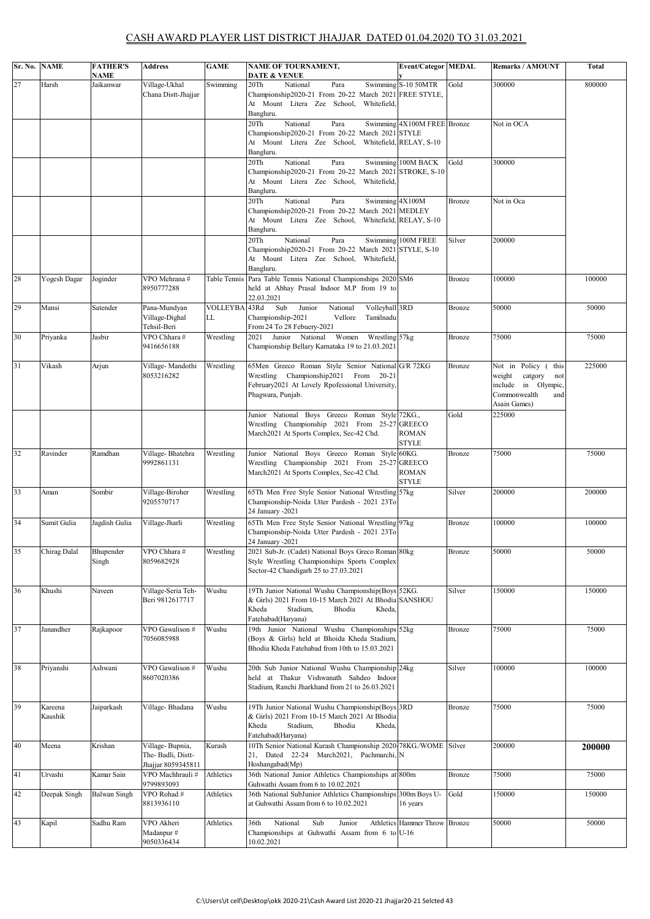## CASH AWARD PLAYER LIST DISTRICT JHAJJAR DATED 01.04.2020 TO 31.03.2021

|    | Sr. No. NAME       | <b>FATHER'S</b><br>NAME | <b>Address</b>                                             | <b>GAME</b>           | NAME OF TOURNAMENT,<br><b>DATE &amp; VENUE</b>                                                                                                                             | <b>Event/Categor MEDAL</b>    |               | Remarks / AMOUNT                                                                                                  | <b>Total</b> |
|----|--------------------|-------------------------|------------------------------------------------------------|-----------------------|----------------------------------------------------------------------------------------------------------------------------------------------------------------------------|-------------------------------|---------------|-------------------------------------------------------------------------------------------------------------------|--------------|
| 27 | Harsh              | Jaikanwar               | Village-Ukhal<br>Chana Distt-Jhajjar                       | Swimming              | 20Th<br>National<br>Para<br>Championship2020-21 From 20-22 March 2021 FREE STYLE,<br>At Mount Litera Zee School, Whitefield,<br>Bangluru.                                  | Swimming S-10 50MTR           | Gold          | 300000                                                                                                            | 800000       |
|    |                    |                         |                                                            |                       | 20Th<br>National<br>Para<br>Championship2020-21 From 20-22 March 2021 STYLE<br>At Mount Litera Zee School, Whitefield, RELAY, S-10<br>Bangluru.                            | Swimming 4X100M FREE Bronze   |               | Not in OCA                                                                                                        |              |
|    |                    |                         |                                                            |                       | 20Th<br>National<br>Para<br>Championship2020-21 From 20-22 March 2021 STROKE, S-10<br>At Mount Litera Zee School, Whitefield,<br>Bangluru.                                 | Swimming 100M BACK            | Gold          | 300000                                                                                                            |              |
|    |                    |                         |                                                            |                       | 20Th<br>National<br>Para<br>Swimming 4X100M<br>Championship2020-21 From 20-22 March 2021 MEDLEY<br>At Mount Litera Zee School, Whitefield, RELAY, S-10<br>Bangluru.        |                               | Bronze        | Not in Oca                                                                                                        |              |
|    |                    |                         |                                                            |                       | 20Th<br>National<br>Para<br>Championship2020-21 From 20-22 March 2021 STYLE, S-10<br>At Mount Litera Zee School, Whitefield,<br>Bangluru.                                  | Swimming 100M FREE            | Silver        | 200000                                                                                                            |              |
| 28 | Yogesh Dagar       | Joginder                | VPO Mehrana #<br>8950777288                                | Table Tennis          | Para Table Tennis National Championships 2020 SM6<br>held at Abhay Prasal Indoor M.P from 19 to<br>22.03.2021                                                              |                               | Bronze        | 100000                                                                                                            | 100000       |
| 29 | Mansi              | Satender                | Pana-Mundyan<br>Village-Dighal<br>Tehsil-Beri              | <b>VOLLEYBA</b><br>LL | Sub<br>43Rd<br>National<br>Junior<br>Volleyball 3RD<br>Championship-2021<br>Vellore<br>Tamilnadu<br>From 24 To 28 Febuery-2021                                             |                               | Bronze        | 50000                                                                                                             | 50000        |
| 30 | Priyanka           | Jasbir                  | VPO Chhara#<br>9416656188                                  | Wrestling             | Women<br>2021 Junior National<br>Wrestling 57kg<br>Championship Bellary Karnataka 19 to 21.03.2021                                                                         |                               | <b>Bronze</b> | 75000                                                                                                             | 75000        |
| 31 | Vikash             | Arjun                   | Village-Mandothi<br>8053216282                             | Wrestling             | 65Men Greeco Roman Style Senior National G/R 72KG<br>Wrestling Championship2021 From 20-21<br>February2021 At Lovely Rpofessional University,<br>Phagwara, Punjab.         |                               | Bronze        | Not in Policy (<br>this<br>weight<br>catgory<br>not<br>include in Olympic,<br>Commonwealth<br>and<br>Asain Games) | 225000       |
|    |                    |                         |                                                            |                       | Junior National Boys Greeco Roman Style 72KG.,<br>Wrestling Championship 2021 From 25-27 GREECO<br>March2021 At Sports Complex, Sec-42 Chd.                                | <b>ROMAN</b><br><b>STYLE</b>  | Gold          | 225000                                                                                                            |              |
| 32 | Ravinder           | Ramdhan                 | Village-Bhatehra<br>9992861131                             | Wrestling             | Junior National Boys Greeco Roman Style 60KG.<br>Wrestling Championship 2021 From 25-27 GREECO<br>March2021 At Sports Complex, Sec-42 Chd.                                 | <b>ROMAN</b><br><b>STYLE</b>  | Bronze        | 75000                                                                                                             | 75000        |
| 33 | Aman               | Sombir                  | Village-Biroher<br>9205570717                              | Wrestling             | 65Th Men Free Style Senior National Wrestling 57kg<br>Championship-Noida Utter Pardesh - 2021 23To<br>24 January -2021                                                     |                               | Silver        | 200000                                                                                                            | 200000       |
| 34 | Sumit Gulia        | Jagdish Gulia           | Village-Jharli                                             | Wrestling             | 65Th Men Free Style Senior National Wrestling 97kg<br>Championship-Noida Utter Pardesh - 2021 23To<br>24 January -2021                                                     |                               | Bronze        | 100000                                                                                                            | 100000       |
| 35 | Chirag Dalal       | Bhupender<br>Singh      | VPO Chhara #<br>8059682928                                 | Wrestling             | 2021 Sub-Jr. (Cadet) National Boys Greco Roman 80kg<br>Style Wrestling Championships Sports Complex<br>Sector-42 Chandigarh 25 to 27.03.2021                               |                               | Bronze        | 50000                                                                                                             | 50000        |
| 36 | Khushi             | Naveen                  | Village-Seria Teh-<br>Beri 9812617717                      | Wushu                 | 19Th Junior National Wushu Championship(Boys 52KG.<br>& Girls) 2021 From 10-15 March 2021 At Bhodia SANSHOU<br>Kheda<br>Stadium,<br>Bhodia<br>Kheda,<br>Fatehabad(Haryana) |                               | Silver        | 150000                                                                                                            | 150000       |
| 37 | Janandher          | Rajkapoor               | VPO Gawalison #<br>7056085988                              | Wushu                 | 19th Junior National Wushu Championships 52kg<br>(Boys & Girls) held at Bhoida Kheda Stadium,<br>Bhodia Kheda Fatehabad from 10th to 15.03.2021                            |                               | Bronze        | 75000                                                                                                             | 75000        |
| 38 | Priyanshi          | Ashwani                 | VPO Gawalison #<br>8607020386                              | Wushu                 | 20th Sub Junior National Wushu Championship 24kg<br>held at Thakur Vishwanath Sahdeo Indoor<br>Stadium, Ranchi Jharkhand from 21 to 26.03.2021                             |                               | Silver        | 100000                                                                                                            | 100000       |
| 39 | Kareena<br>Kaushik | Jaiparkash              | Village-Bhadana                                            | Wushu                 | 19Th Junior National Wushu Championship(Boys 3RD<br>& Girls) 2021 From 10-15 March 2021 At Bhodia<br>Kheda<br>Bhodia<br>Stadium,<br>Kheda,<br>Fatehabad(Haryana)           |                               | Bronze        | 75000                                                                                                             | 75000        |
| 40 | Meena              | Krishan                 | Village-Bupnia,<br>The-Badli, Distt-<br>Jhajjar 8059345811 | Kurash                | 10Th Senior National Kurash Championship 2020-78KG./WOME Silver<br>21, Dated 22-24 March2021, Pachmarchi, N<br>Hoshangabad(Mp)                                             |                               |               | 200000                                                                                                            | 200000       |
| 41 | Urvashi            | Kamar Sain              | VPO Machhrauli#<br>9799893093                              | Athletics             | 36th National Junior Athletics Championships at 800m<br>Guhwathi Assam from 6 to 10.02.2021                                                                                |                               | Bronze        | 75000                                                                                                             | 75000        |
| 42 | Deepak Singh       | <b>Balwan Singh</b>     | VPO Rohad #<br>8813936110                                  | Athletics             | 36th National SubJunior Athletics Championships 300m Boys U-<br>at Guhwathi Assam from 6 to 10.02.2021                                                                     | 16 years                      | Gold          | 150000                                                                                                            | 150000       |
| 43 | Kapil              | Sadhu Ram               | VPO Akheri<br>Madanpur#<br>9050336434                      | Athletics             | National<br>Sub<br>36th<br>Junior<br>Championships at Guhwathi Assam from 6 to U-16<br>10.02.2021                                                                          | Athletics Hammer Throw Bronze |               | 50000                                                                                                             | 50000        |